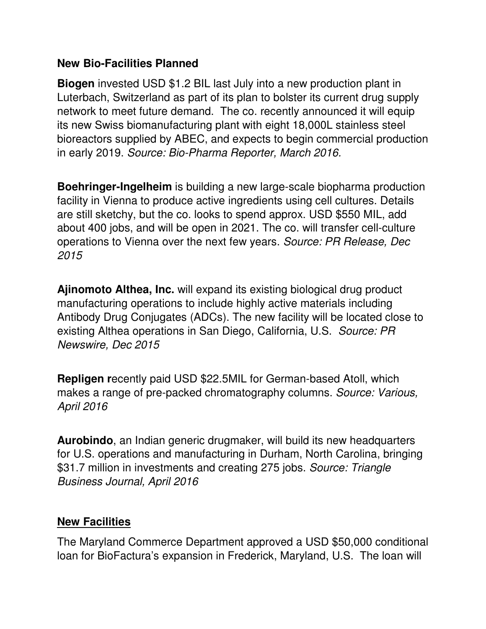## **New Bio-Facilities Planned**

**Biogen** invested USD \$1.2 BIL last July into a new production plant in Luterbach, Switzerland as part of its plan to bolster its current drug supply network to meet future demand. The co. recently announced it will equip its new Swiss biomanufacturing plant with eight 18,000L stainless steel bioreactors supplied by ABEC, and expects to begin commercial production in early 2019. *Source: Bio-Pharma Reporter, March 2016.* 

**Boehringer-Ingelheim** is building a new large-scale biopharma production facility in Vienna to produce active ingredients using cell cultures. Details are still sketchy, but the co. looks to spend approx. USD \$550 MIL, add about 400 jobs, and will be open in 2021. The co. will transfer cell-culture operations to Vienna over the next few years. *Source: PR Release, Dec 2015* 

**Ajinomoto Althea, Inc.** will expand its existing biological drug product manufacturing operations to include highly active materials including Antibody Drug Conjugates (ADCs). The new facility will be located close to existing Althea operations in San Diego, California, U.S. *Source: PR Newswire, Dec 2015* 

**Repligen r**ecently paid USD \$22.5MIL for German-based Atoll, which makes a range of pre-packed chromatography columns. *Source: Various, April 2016* 

**Aurobindo**, an Indian generic drugmaker, will build its new headquarters for U.S. operations and manufacturing in Durham, North Carolina, bringing \$31.7 million in investments and creating 275 jobs. *Source: Triangle Business Journal, April 2016*

## **New Facilities**

The Maryland Commerce Department approved a USD \$50,000 conditional loan for BioFactura's expansion in Frederick, Maryland, U.S. The loan will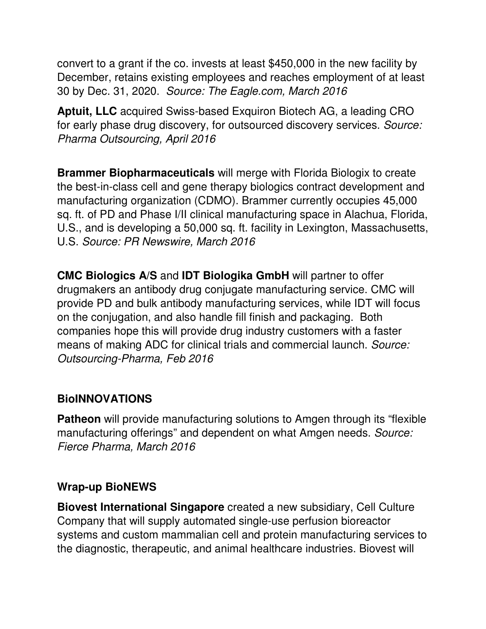convert to a grant if the co. invests at least \$450,000 in the new facility by December, retains existing employees and reaches employment of at least 30 by Dec. 31, 2020. *Source: The Eagle.com, March 2016*

**Aptuit, LLC** acquired Swiss-based Exquiron Biotech AG, a leading CRO for early phase drug discovery, for outsourced discovery services. *Source: Pharma Outsourcing, April 2016* 

**Brammer Biopharmaceuticals** will merge with Florida Biologix to create the best-in-class cell and gene therapy biologics contract development and manufacturing organization (CDMO). Brammer currently occupies 45,000 sq. ft. of PD and Phase I/II clinical manufacturing space in Alachua, Florida, U.S., and is developing a 50,000 sq. ft. facility in Lexington, Massachusetts, U.S. *Source: PR Newswire, March 2016* 

**CMC Biologics A/S** and **IDT Biologika GmbH** will partner to offer drugmakers an antibody drug conjugate manufacturing service. CMC will provide PD and bulk antibody manufacturing services, while IDT will focus on the conjugation, and also handle fill finish and packaging. Both companies hope this will provide drug industry customers with a faster means of making ADC for clinical trials and commercial launch. *Source: Outsourcing-Pharma, Feb 2016*

## **BioINNOVATIONS**

**Patheon** will provide manufacturing solutions to Amgen through its "flexible" manufacturing offerings" and dependent on what Amgen needs. *Source: Fierce Pharma, March 2016*

## **Wrap-up BioNEWS**

**Biovest International Singapore** created a new subsidiary, Cell Culture Company that will supply automated single-use perfusion bioreactor systems and custom mammalian cell and protein manufacturing services to the diagnostic, therapeutic, and animal healthcare industries. Biovest will